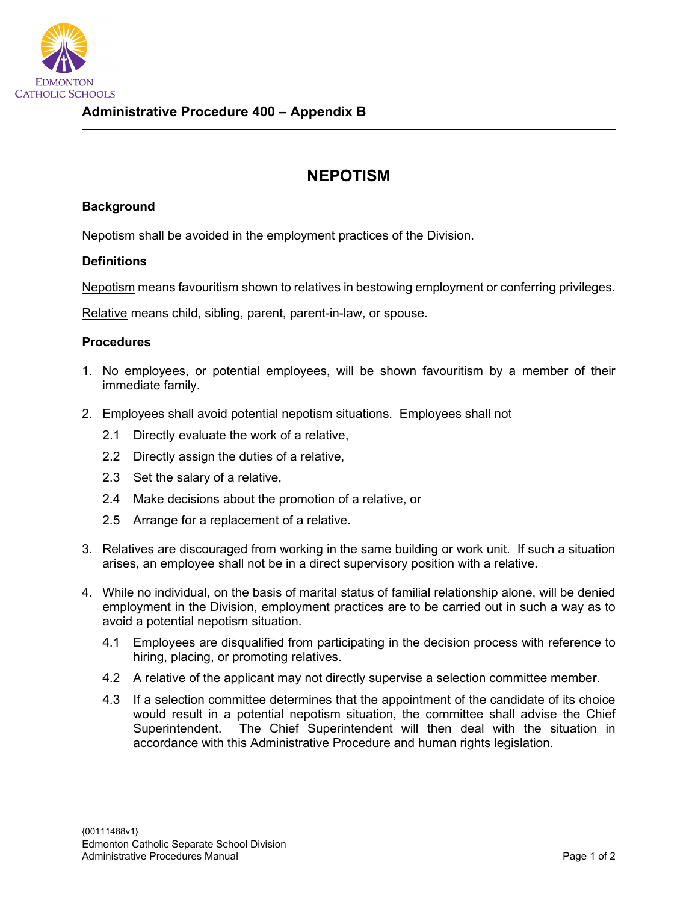

## **NEPOTISM**

## **Background**

Nepotism shall be avoided in the employment practices of the Division.

## **Definitions**

Nepotism means favouritism shown to relatives in bestowing employment or conferring privileges.

Relative means child, sibling, parent, parent-in-law, or spouse.

## **Procedures**

- 1. No employees, or potential employees, will be shown favouritism by a member of their immediate family.
- 2. Employees shall avoid potential nepotism situations. Employees shall not
	- 2.1 Directly evaluate the work of a relative,
	- 2.2 Directly assign the duties of a relative,
	- 2.3 Set the salary of a relative,
	- 2.4 Make decisions about the promotion of a relative, or
	- 2.5 Arrange for a replacement of a relative.
- 3. Relatives are discouraged from working in the same building or work unit. If such a situation arises, an employee shall not be in a direct supervisory position with a relative.
- 4. While no individual, on the basis of marital status of familial relationship alone, will be denied employment in the Division, employment practices are to be carried out in such a way as to avoid a potential nepotism situation.
	- 4.1 Employees are disqualified from participating in the decision process with reference to hiring, placing, or promoting relatives.
	- 4.2 A relative of the applicant may not directly supervise a selection committee member.
	- 4.3 If a selection committee determines that the appointment of the candidate of its choice would result in a potential nepotism situation, the committee shall advise the Chief Superintendent. The Chief Superintendent will then deal with the situation in accordance with this Administrative Procedure and human rights legislation.